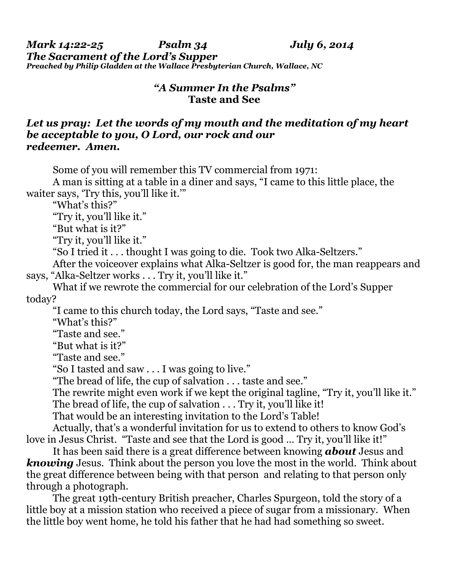*Mark 14:22-25 Psalm 34 July 6, 2o14 The Sacrament of the Lord's Supper Preached by Philip Gladden at the Wallace Presbyterian Church, Wallace, NC*

## *"A Summer In the Psalms"*  **Taste and See**

## *Let us pray: Let the words of my mouth and the meditation of my heart be acceptable to you, O Lord, our rock and our redeemer. Amen.*

Some of you will remember this TV commercial from 1971:

 A man is sitting at a table in a diner and says, "I came to this little place, the waiter says, 'Try this, you'll like it.'"

"What's this?"

"Try it, you'll like it."

"But what is it?"

"Try it, you'll like it."

"So I tried it . . . thought I was going to die. Took two Alka-Seltzers."

 After the voiceover explains what Alka-Seltzer is good for, the man reappears and says, "Alka-Seltzer works . . . Try it, you'll like it."

 What if we rewrote the commercial for our celebration of the Lord's Supper today?

"I came to this church today, the Lord says, "Taste and see."

"What's this?"

"Taste and see."

"But what is it?"

"Taste and see."

"So I tasted and saw . . . I was going to live."

"The bread of life, the cup of salvation . . . taste and see."

 The rewrite might even work if we kept the original tagline, "Try it, you'll like it." The bread of life, the cup of salvation . . . Try it, you'll like it!

That would be an interesting invitation to the Lord's Table!

 Actually, that's a wonderful invitation for us to extend to others to know God's love in Jesus Christ. "Taste and see that the Lord is good … Try it, you'll like it!"

 It has been said there is a great difference between knowing *about* Jesus and *knowing* Jesus. Think about the person you love the most in the world. Think about the great difference between being with that person and relating to that person only through a photograph.

 The great 19th-century British preacher, Charles Spurgeon, told the story of a little boy at a mission station who received a piece of sugar from a missionary. When the little boy went home, he told his father that he had had something so sweet.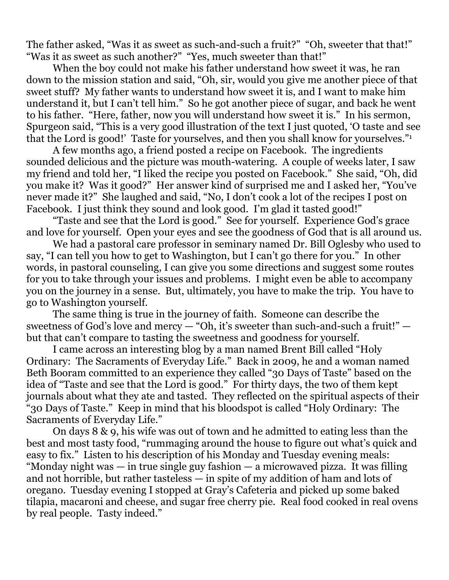The father asked, "Was it as sweet as such-and-such a fruit?" "Oh, sweeter that that!" "Was it as sweet as such another?" "Yes, much sweeter than that!"

 When the boy could not make his father understand how sweet it was, he ran down to the mission station and said, "Oh, sir, would you give me another piece of that sweet stuff? My father wants to understand how sweet it is, and I want to make him understand it, but I can't tell him." So he got another piece of sugar, and back he went to his father. "Here, father, now you will understand how sweet it is." In his sermon, Spurgeon said, "This is a very good illustration of the text I just quoted, 'O taste and see that the Lord is good!' Taste for yourselves, and then you shall know for yourselves."1

A few months ago, a friend posted a recipe on Facebook. The ingredients sounded delicious and the picture was mouth-watering. A couple of weeks later, I saw my friend and told her, "I liked the recipe you posted on Facebook." She said, "Oh, did you make it? Was it good?" Her answer kind of surprised me and I asked her, "You've never made it?" She laughed and said, "No, I don't cook a lot of the recipes I post on Facebook. I just think they sound and look good. I'm glad it tasted good!"

 "Taste and see that the Lord is good." See for yourself. Experience God's grace and love for yourself. Open your eyes and see the goodness of God that is all around us.

 We had a pastoral care professor in seminary named Dr. Bill Oglesby who used to say, "I can tell you how to get to Washington, but I can't go there for you." In other words, in pastoral counseling, I can give you some directions and suggest some routes for you to take through your issues and problems. I might even be able to accompany you on the journey in a sense. But, ultimately, you have to make the trip. You have to go to Washington yourself.

 The same thing is true in the journey of faith. Someone can describe the sweetness of God's love and mercy — "Oh, it's sweeter than such-and-such a fruit!" but that can't compare to tasting the sweetness and goodness for yourself.

 I came across an interesting blog by a man named Brent Bill called "Holy Ordinary: The Sacraments of Everyday Life." Back in 2009, he and a woman named Beth Booram committed to an experience they called "30 Days of Taste" based on the idea of "Taste and see that the Lord is good." For thirty days, the two of them kept journals about what they ate and tasted. They reflected on the spiritual aspects of their "30 Days of Taste." Keep in mind that his bloodspot is called "Holy Ordinary: The Sacraments of Everyday Life."

 On days 8 & 9, his wife was out of town and he admitted to eating less than the best and most tasty food, "rummaging around the house to figure out what's quick and easy to fix." Listen to his description of his Monday and Tuesday evening meals: "Monday night was — in true single guy fashion — a microwaved pizza. It was filling and not horrible, but rather tasteless — in spite of my addition of ham and lots of oregano. Tuesday evening I stopped at Gray's Cafeteria and picked up some baked tilapia, macaroni and cheese, and sugar free cherry pie. Real food cooked in real ovens by real people. Tasty indeed."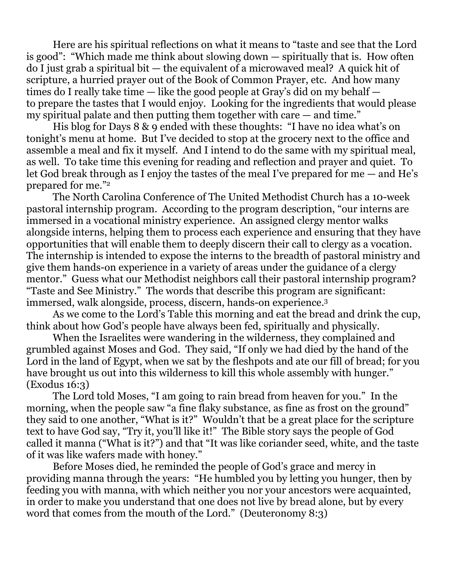Here are his spiritual reflections on what it means to "taste and see that the Lord is good": "Which made me think about slowing down — spiritually that is. How often do I just grab a spiritual bit — the equivalent of a microwaved meal? A quick hit of scripture, a hurried prayer out of the Book of Common Prayer, etc. And how many times do I really take time — like the good people at Gray's did on my behalf to prepare the tastes that I would enjoy. Looking for the ingredients that would please my spiritual palate and then putting them together with care — and time."

His blog for Days 8 & 9 ended with these thoughts: "I have no idea what's on tonight's menu at home. But I've decided to stop at the grocery next to the office and assemble a meal and fix it myself. And I intend to do the same with my spiritual meal, as well. To take time this evening for reading and reflection and prayer and quiet. To let God break through as I enjoy the tastes of the meal I've prepared for me — and He's prepared for me."2

The North Carolina Conference of The United Methodist Church has a 10-week pastoral internship program. According to the program description, "our interns are immersed in a vocational ministry experience. An assigned clergy mentor walks alongside interns, helping them to process each experience and ensuring that they have opportunities that will enable them to deeply discern their call to clergy as a vocation. The internship is intended to expose the interns to the breadth of pastoral ministry and give them hands-on experience in a variety of areas under the guidance of a clergy mentor." Guess what our Methodist neighbors call their pastoral internship program? "Taste and See Ministry." The words that describe this program are significant: immersed, walk alongside, process, discern, hands-on experience.3

 As we come to the Lord's Table this morning and eat the bread and drink the cup, think about how God's people have always been fed, spiritually and physically.

 When the Israelites were wandering in the wilderness, they complained and grumbled against Moses and God. They said, "If only we had died by the hand of the Lord in the land of Egypt, when we sat by the fleshpots and ate our fill of bread; for you have brought us out into this wilderness to kill this whole assembly with hunger." (Exodus 16:3)

 The Lord told Moses, "I am going to rain bread from heaven for you." In the morning, when the people saw "a fine flaky substance, as fine as frost on the ground" they said to one another, "What is it?" Wouldn't that be a great place for the scripture text to have God say, "Try it, you'll like it!" The Bible story says the people of God called it manna ("What is it?") and that "It was like coriander seed, white, and the taste of it was like wafers made with honey."

 Before Moses died, he reminded the people of God's grace and mercy in providing manna through the years: "He humbled you by letting you hunger, then by feeding you with manna, with which neither you nor your ancestors were acquainted, in order to make you understand that one does not live by bread alone, but by every word that comes from the mouth of the Lord." (Deuteronomy 8:3)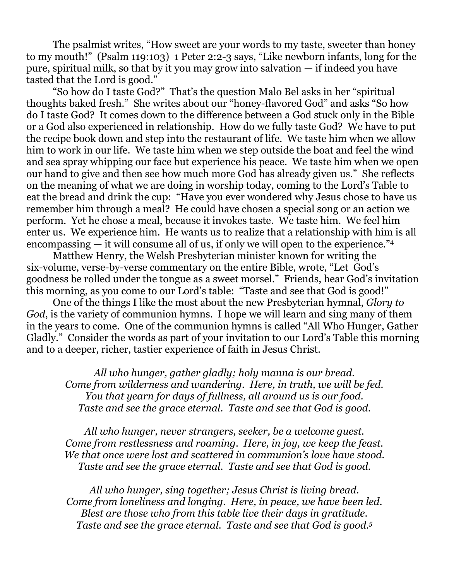The psalmist writes, "How sweet are your words to my taste, sweeter than honey to my mouth!" (Psalm 119:103) 1 Peter 2:2-3 says, "Like newborn infants, long for the pure, spiritual milk, so that by it you may grow into salvation — if indeed you have tasted that the Lord is good."

 "So how do I taste God?" That's the question Malo Bel asks in her "spiritual thoughts baked fresh." She writes about our "honey-flavored God" and asks "So how do I taste God? It comes down to the difference between a God stuck only in the Bible or a God also experienced in relationship. How do we fully taste God? We have to put the recipe book down and step into the restaurant of life. We taste him when we allow him to work in our life. We taste him when we step outside the boat and feel the wind and sea spray whipping our face but experience his peace. We taste him when we open our hand to give and then see how much more God has already given us." She reflects on the meaning of what we are doing in worship today, coming to the Lord's Table to eat the bread and drink the cup: "Have you ever wondered why Jesus chose to have us remember him through a meal? He could have chosen a special song or an action we perform. Yet he chose a meal, because it invokes taste. We taste him. We feel him enter us. We experience him. He wants us to realize that a relationship with him is all encompassing — it will consume all of us, if only we will open to the experience."<sup>4</sup>

 Matthew Henry, the Welsh Presbyterian minister known for writing the six-volume, verse-by-verse commentary on the entire Bible, wrote, "Let God's goodness be rolled under the tongue as a sweet morsel." Friends, hear God's invitation this morning, as you come to our Lord's table: "Taste and see that God is good!"

 One of the things I like the most about the new Presbyterian hymnal, *Glory to God*, is the variety of communion hymns. I hope we will learn and sing many of them in the years to come. One of the communion hymns is called "All Who Hunger, Gather Gladly." Consider the words as part of your invitation to our Lord's Table this morning and to a deeper, richer, tastier experience of faith in Jesus Christ.

*All who hunger, gather gladly; holy manna is our bread. Come from wilderness and wandering. Here, in truth, we will be fed. You that yearn for days of fullness, all around us is our food. Taste and see the grace eternal. Taste and see that God is good.*

*All who hunger, never strangers, seeker, be a welcome guest. Come from restlessness and roaming. Here, in joy, we keep the feast. We that once were lost and scattered in communion's love have stood. Taste and see the grace eternal. Taste and see that God is good.*

*All who hunger, sing together; Jesus Christ is living bread. Come from loneliness and longing. Here, in peace, we have been led. Blest are those who from this table live their days in gratitude. Taste and see the grace eternal. Taste and see that God is good.5*